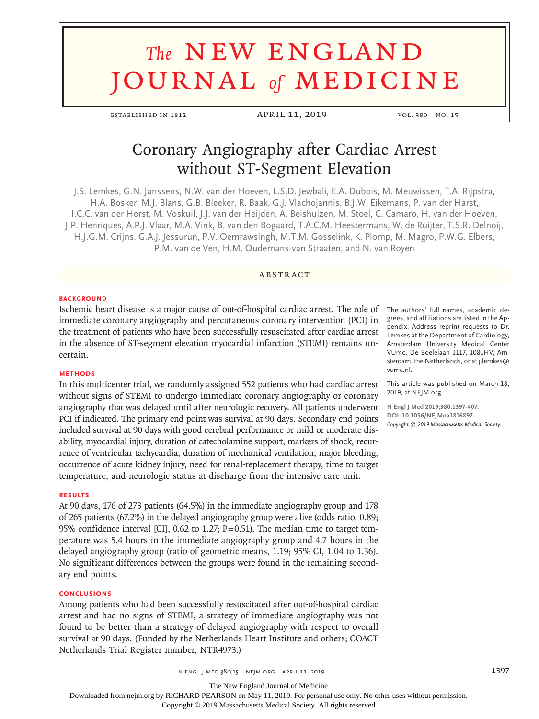# **The NEW ENGLAND** journal *of* medicine

established in 1812 April 11, 2019 vol. 380 no. 15

# Coronary Angiography after Cardiac Arrest without ST-Segment Elevation

J.S. Lemkes, G.N. Janssens, N.W. van der Hoeven, L.S.D. Jewbali, E.A. Dubois, M. Meuwissen, T.A. Rijpstra, H.A. Bosker, M.J. Blans, G.B. Bleeker, R. Baak, G.J. Vlachojannis, B.J.W. Eikemans, P. van der Harst, I.C.C. van der Horst, M. Voskuil, J.J. van der Heijden, A. Beishuizen, M. Stoel, C. Camaro, H. van der Hoeven, J.P. Henriques, A.P.J. Vlaar, M.A. Vink, B. van den Bogaard, T.A.C.M. Heestermans, W. de Ruijter, T.S.R. Delnoij, H.J.G.M. Crijns, G.A.J. Jessurun, P.V. Oemrawsingh, M.T.M. Gosselink, K. Plomp, M. Magro, P.W.G. Elbers, P.M. van de Ven, H.M. Oudemans‑van Straaten, and N. van Royen

#### **ABSTRACT**

#### **BACKGROUND**

Ischemic heart disease is a major cause of out-of-hospital cardiac arrest. The role of immediate coronary angiography and percutaneous coronary intervention (PCI) in the treatment of patients who have been successfully resuscitated after cardiac arrest in the absence of ST-segment elevation myocardial infarction (STEMI) remains uncertain.

#### **METHODS**

In this multicenter trial, we randomly assigned 552 patients who had cardiac arrest without signs of STEMI to undergo immediate coronary angiography or coronary angiography that was delayed until after neurologic recovery. All patients underwent PCI if indicated. The primary end point was survival at 90 days. Secondary end points included survival at 90 days with good cerebral performance or mild or moderate disability, myocardial injury, duration of catecholamine support, markers of shock, recurrence of ventricular tachycardia, duration of mechanical ventilation, major bleeding, occurrence of acute kidney injury, need for renal-replacement therapy, time to target temperature, and neurologic status at discharge from the intensive care unit.

### **RESULTS**

At 90 days, 176 of 273 patients (64.5%) in the immediate angiography group and 178 of 265 patients (67.2%) in the delayed angiography group were alive (odds ratio, 0.89; 95% confidence interval [CI], 0.62 to 1.27;  $P=0.51$ ). The median time to target temperature was 5.4 hours in the immediate angiography group and 4.7 hours in the delayed angiography group (ratio of geometric means, 1.19; 95% CI, 1.04 to 1.36). No significant differences between the groups were found in the remaining secondary end points.

#### **CONCLUSIONS**

Among patients who had been successfully resuscitated after out-of-hospital cardiac arrest and had no signs of STEMI, a strategy of immediate angiography was not found to be better than a strategy of delayed angiography with respect to overall survival at 90 days. (Funded by the Netherlands Heart Institute and others; COACT Netherlands Trial Register number, NTR4973.)

The authors' full names, academic degrees, and affiliations are listed in the Ap‑ pendix. Address reprint requests to Dr. Lemkes at the Department of Cardiology, Amsterdam University Medical Center VUmc, De Boelelaan 1117, 1081HV, Amsterdam, the Netherlands, or at j.lemkes@ vumc.nl.

This article was published on March 18, 2019, at NEJM.org.

**N Engl J Med 2019;380:1397-407. DOI: 10.1056/NEJMoa1816897** *Copyright © 2019 Massachusetts Medical Society.*

n engl j med 380;15 nejm.org April 11, 2019 1397

The New England Journal of Medicine

Downloaded from nejm.org by RICHARD PEARSON on May 11, 2019. For personal use only. No other uses without permission.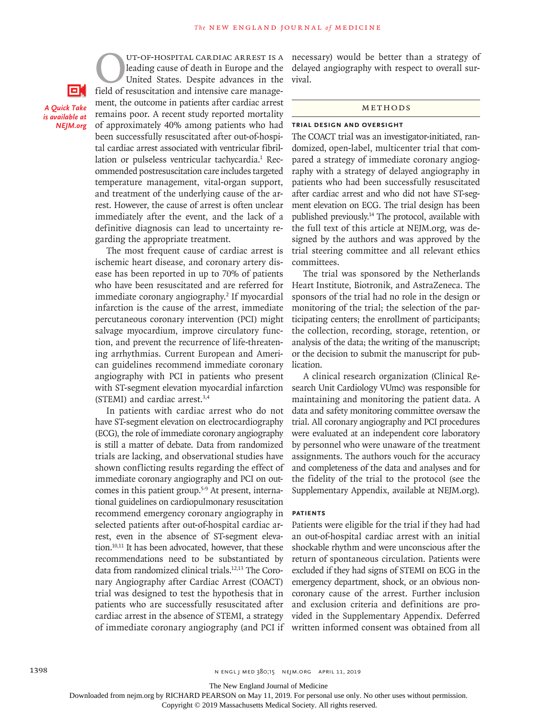UT-OF-HOSPITAL CARDIAC ARREST IS A leading cause of death in Europe and the United States. Despite advances in the field of resuscitation and intensive care manageleading cause of death in Europe and the United States. Despite advances in the ment, the outcome in patients after cardiac arrest remains poor. A recent study reported mortality of approximately 40% among patients who had been successfully resuscitated after out-of-hospital cardiac arrest associated with ventricular fibrillation or pulseless ventricular tachycardia.<sup>1</sup> Recommended postresuscitation care includes targeted temperature management, vital-organ support, and treatment of the underlying cause of the arrest. However, the cause of arrest is often unclear immediately after the event, and the lack of a definitive diagnosis can lead to uncertainty regarding the appropriate treatment.

*A Quick Take is available at NEJM.org*

oн

The most frequent cause of cardiac arrest is ischemic heart disease, and coronary artery disease has been reported in up to 70% of patients who have been resuscitated and are referred for immediate coronary angiography.<sup>2</sup> If myocardial infarction is the cause of the arrest, immediate percutaneous coronary intervention (PCI) might salvage myocardium, improve circulatory function, and prevent the recurrence of life-threatening arrhythmias. Current European and American guidelines recommend immediate coronary angiography with PCI in patients who present with ST-segment elevation myocardial infarction (STEMI) and cardiac arrest.3,4

In patients with cardiac arrest who do not have ST-segment elevation on electrocardiography (ECG), the role of immediate coronary angiography is still a matter of debate. Data from randomized trials are lacking, and observational studies have shown conflicting results regarding the effect of immediate coronary angiography and PCI on outcomes in this patient group.<sup>5-9</sup> At present, international guidelines on cardiopulmonary resuscitation recommend emergency coronary angiography in selected patients after out-of-hospital cardiac arrest, even in the absence of ST-segment elevation.10,11 It has been advocated, however, that these recommendations need to be substantiated by data from randomized clinical trials.12,13 The Coronary Angiography after Cardiac Arrest (COACT) trial was designed to test the hypothesis that in patients who are successfully resuscitated after cardiac arrest in the absence of STEMI, a strategy

necessary) would be better than a strategy of delayed angiography with respect to overall survival.

#### METHODS

### **Trial Design and Oversight**

The COACT trial was an investigator-initiated, randomized, open-label, multicenter trial that compared a strategy of immediate coronary angiography with a strategy of delayed angiography in patients who had been successfully resuscitated after cardiac arrest and who did not have ST-segment elevation on ECG. The trial design has been published previously.14 The protocol, available with the full text of this article at NEJM.org, was designed by the authors and was approved by the trial steering committee and all relevant ethics committees.

The trial was sponsored by the Netherlands Heart Institute, Biotronik, and AstraZeneca. The sponsors of the trial had no role in the design or monitoring of the trial; the selection of the participating centers; the enrollment of participants; the collection, recording, storage, retention, or analysis of the data; the writing of the manuscript; or the decision to submit the manuscript for publication.

A clinical research organization (Clinical Research Unit Cardiology VUmc) was responsible for maintaining and monitoring the patient data. A data and safety monitoring committee oversaw the trial. All coronary angiography and PCI procedures were evaluated at an independent core laboratory by personnel who were unaware of the treatment assignments. The authors vouch for the accuracy and completeness of the data and analyses and for the fidelity of the trial to the protocol (see the Supplementary Appendix, available at NEJM.org).

#### **Patients**

of immediate coronary angiography (and PCI if written informed consent was obtained from all Patients were eligible for the trial if they had had an out-of-hospital cardiac arrest with an initial shockable rhythm and were unconscious after the return of spontaneous circulation. Patients were excluded if they had signs of STEMI on ECG in the emergency department, shock, or an obvious noncoronary cause of the arrest. Further inclusion and exclusion criteria and definitions are provided in the Supplementary Appendix. Deferred

The New England Journal of Medicine

Downloaded from nejm.org by RICHARD PEARSON on May 11, 2019. For personal use only. No other uses without permission.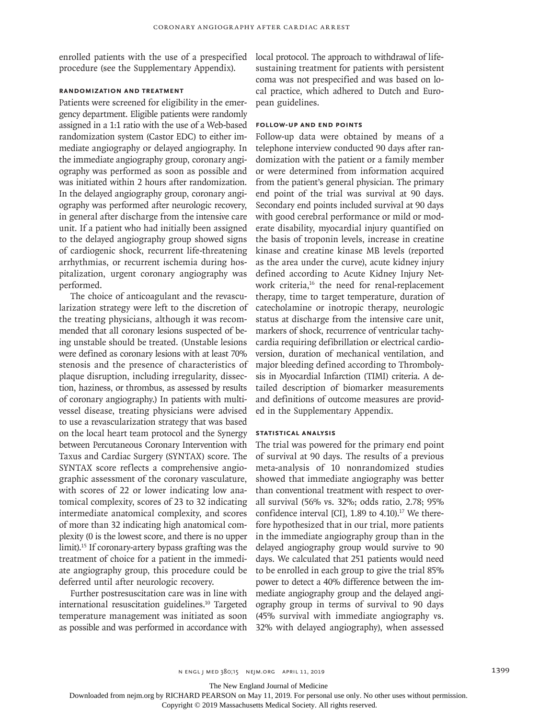enrolled patients with the use of a prespecified procedure (see the Supplementary Appendix).

## **Randomization and Treatment**

Patients were screened for eligibility in the emergency department. Eligible patients were randomly assigned in a 1:1 ratio with the use of a Web-based randomization system (Castor EDC) to either immediate angiography or delayed angiography. In the immediate angiography group, coronary angiography was performed as soon as possible and was initiated within 2 hours after randomization. In the delayed angiography group, coronary angiography was performed after neurologic recovery, in general after discharge from the intensive care unit. If a patient who had initially been assigned to the delayed angiography group showed signs of cardiogenic shock, recurrent life-threatening arrhythmias, or recurrent ischemia during hospitalization, urgent coronary angiography was performed.

The choice of anticoagulant and the revascularization strategy were left to the discretion of the treating physicians, although it was recommended that all coronary lesions suspected of being unstable should be treated. (Unstable lesions were defined as coronary lesions with at least 70% stenosis and the presence of characteristics of plaque disruption, including irregularity, dissection, haziness, or thrombus, as assessed by results of coronary angiography.) In patients with multivessel disease, treating physicians were advised to use a revascularization strategy that was based on the local heart team protocol and the Synergy between Percutaneous Coronary Intervention with Taxus and Cardiac Surgery (SYNTAX) score. The SYNTAX score reflects a comprehensive angiographic assessment of the coronary vasculature, with scores of 22 or lower indicating low anatomical complexity, scores of 23 to 32 indicating intermediate anatomical complexity, and scores of more than 32 indicating high anatomical complexity (0 is the lowest score, and there is no upper limit).15 If coronary-artery bypass grafting was the treatment of choice for a patient in the immediate angiography group, this procedure could be deferred until after neurologic recovery.

Further postresuscitation care was in line with international resuscitation guidelines.10 Targeted temperature management was initiated as soon as possible and was performed in accordance with local protocol. The approach to withdrawal of lifesustaining treatment for patients with persistent coma was not prespecified and was based on local practice, which adhered to Dutch and European guidelines.

### **Follow-up and End Points**

Follow-up data were obtained by means of a telephone interview conducted 90 days after randomization with the patient or a family member or were determined from information acquired from the patient's general physician. The primary end point of the trial was survival at 90 days. Secondary end points included survival at 90 days with good cerebral performance or mild or moderate disability, myocardial injury quantified on the basis of troponin levels, increase in creatine kinase and creatine kinase MB levels (reported as the area under the curve), acute kidney injury defined according to Acute Kidney Injury Network criteria,<sup>16</sup> the need for renal-replacement therapy, time to target temperature, duration of catecholamine or inotropic therapy, neurologic status at discharge from the intensive care unit, markers of shock, recurrence of ventricular tachycardia requiring defibrillation or electrical cardioversion, duration of mechanical ventilation, and major bleeding defined according to Thrombolysis in Myocardial Infarction (TIMI) criteria. A detailed description of biomarker measurements and definitions of outcome measures are provided in the Supplementary Appendix.

#### **Statistical Analysis**

The trial was powered for the primary end point of survival at 90 days. The results of a previous meta-analysis of 10 nonrandomized studies showed that immediate angiography was better than conventional treatment with respect to overall survival (56% vs. 32%; odds ratio, 2.78; 95% confidence interval [CI],  $1.89$  to  $4.10$ .<sup>17</sup> We therefore hypothesized that in our trial, more patients in the immediate angiography group than in the delayed angiography group would survive to 90 days. We calculated that 251 patients would need to be enrolled in each group to give the trial 85% power to detect a 40% difference between the immediate angiography group and the delayed angiography group in terms of survival to 90 days (45% survival with immediate angiography vs. 32% with delayed angiography), when assessed

The New England Journal of Medicine

Downloaded from nejm.org by RICHARD PEARSON on May 11, 2019. For personal use only. No other uses without permission.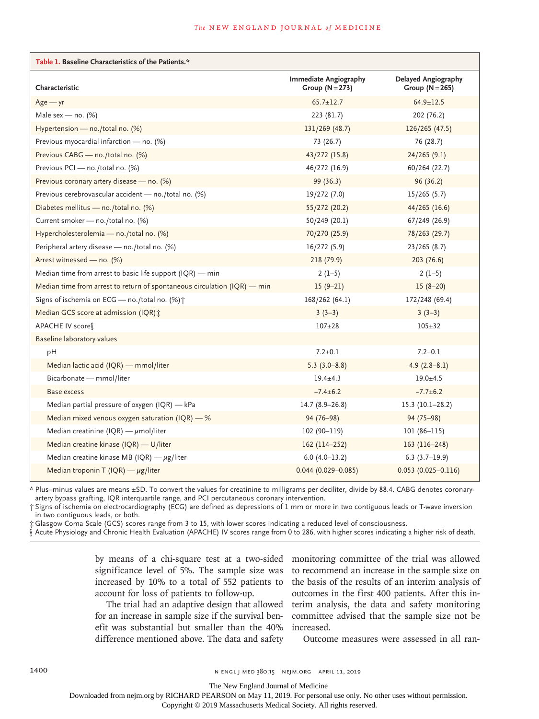#### **The NEW ENGLAND JOURNAL of MEDICINE**

| Table 1. Baseline Characteristics of the Patients.*                      |                                                 |                                          |  |  |
|--------------------------------------------------------------------------|-------------------------------------------------|------------------------------------------|--|--|
| Characteristic                                                           | <b>Immediate Angiography</b><br>Group $(N=273)$ | Delayed Angiography<br>Group $(N = 265)$ |  |  |
| $Age - yr$                                                               | $65.7 \pm 12.7$                                 | $64.9 \pm 12.5$                          |  |  |
| Male sex - no. $(%)$                                                     | 223 (81.7)                                      | 202 (76.2)                               |  |  |
| Hypertension - no./total no. (%)                                         | 131/269 (48.7)                                  | 126/265 (47.5)                           |  |  |
| Previous myocardial infarction - no. (%)                                 | 73 (26.7)                                       | 76 (28.7)                                |  |  |
| Previous CABG - no./total no. (%)                                        | 43/272 (15.8)                                   | 24/265(9.1)                              |  |  |
| Previous PCI - no./total no. (%)                                         | 46/272 (16.9)                                   | 60/264(22.7)                             |  |  |
| Previous coronary artery disease - no. (%)                               | 99 (36.3)                                       | 96(36.2)                                 |  |  |
| Previous cerebrovascular accident - no./total no. (%)                    | 19/272 (7.0)                                    | 15/265(5.7)                              |  |  |
| Diabetes mellitus - no./total no. (%)                                    | 55/272 (20.2)                                   | 44/265 (16.6)                            |  |  |
| Current smoker - no./total no. (%)                                       | 50/249 (20.1)                                   | 67/249 (26.9)                            |  |  |
| Hypercholesterolemia - no./total no. (%)                                 | 70/270 (25.9)                                   | 78/263 (29.7)                            |  |  |
| Peripheral artery disease - no./total no. (%)                            | 16/272(5.9)                                     | 23/265(8.7)                              |  |  |
| Arrest witnessed - no. (%)                                               | 218(79.9)                                       | 203 (76.6)                               |  |  |
| Median time from arrest to basic life support (IQR) - min                | $2(1-5)$                                        | $2(1-5)$                                 |  |  |
| Median time from arrest to return of spontaneous circulation (IQR) - min | $15(9-21)$                                      | $15(8-20)$                               |  |  |
| Signs of ischemia on ECG - no./total no. (%) +                           | 168/262 (64.1)                                  | 172/248 (69.4)                           |  |  |
| Median GCS score at admission (IQR) :                                    | $3(3-3)$                                        | $3(3-3)$                                 |  |  |
| APACHE IV score                                                          | $107 + 28$                                      | $105 \pm 32$                             |  |  |
| Baseline laboratory values                                               |                                                 |                                          |  |  |
| pH                                                                       | $7.2 \pm 0.1$                                   | $7.2 \pm 0.1$                            |  |  |
| Median lactic acid (IQR) - mmol/liter                                    | $5.3(3.0 - 8.8)$                                | $4.9(2.8-8.1)$                           |  |  |
| Bicarbonate - mmol/liter                                                 | $19.4 \pm 4.3$                                  | $19.0 + 4.5$                             |  |  |
| Base excess                                                              | $-7.4 \pm 6.2$                                  | $-7.7 + 6.2$                             |  |  |
| Median partial pressure of oxygen (IQR) — kPa                            | $14.7(8.9-26.8)$                                | $15.3(10.1-28.2)$                        |  |  |
| Median mixed venous oxygen saturation (IQR) $-$ %                        | 94 (76-98)                                      | $94(75-98)$                              |  |  |
| Median creatinine (IQR) — $\mu$ mol/liter                                | $102(90 - 119)$                                 | $101(86-115)$                            |  |  |
| Median creatine kinase (IQR) — U/liter                                   | 162 (114-252)                                   | $163(116-248)$                           |  |  |
| Median creatine kinase MB (IQR) $-\mu$ g/liter                           | $6.0(4.0-13.2)$                                 | $6.3(3.7-19.9)$                          |  |  |
| Median troponin T (IQR) $-\mu$ g/liter                                   | $0.044(0.029 - 0.085)$                          | $0.053$ $(0.025 - 0.116)$                |  |  |

\* Plus–minus values are means ±SD. To convert the values for creatinine to milligrams per deciliter, divide by 88.4. CABG denotes coronaryartery bypass grafting, IQR interquartile range, and PCI percutaneous coronary intervention.

† Signs of ischemia on electrocardiography (ECG) are defined as depressions of 1 mm or more in two contiguous leads or T-wave inversion in two contiguous leads, or both.

‡ Glasgow Coma Scale (GCS) scores range from 3 to 15, with lower scores indicating a reduced level of consciousness.

§ Acute Physiology and Chronic Health Evaluation (APACHE) IV scores range from 0 to 286, with higher scores indicating a higher risk of death.

by means of a chi-square test at a two-sided significance level of 5%. The sample size was increased by 10% to a total of 552 patients to account for loss of patients to follow-up.

The trial had an adaptive design that allowed for an increase in sample size if the survival benefit was substantial but smaller than the 40% difference mentioned above. The data and safety

monitoring committee of the trial was allowed to recommend an increase in the sample size on the basis of the results of an interim analysis of outcomes in the first 400 patients. After this interim analysis, the data and safety monitoring committee advised that the sample size not be increased.

Outcome measures were assessed in all ran-

The New England Journal of Medicine

Downloaded from nejm.org by RICHARD PEARSON on May 11, 2019. For personal use only. No other uses without permission.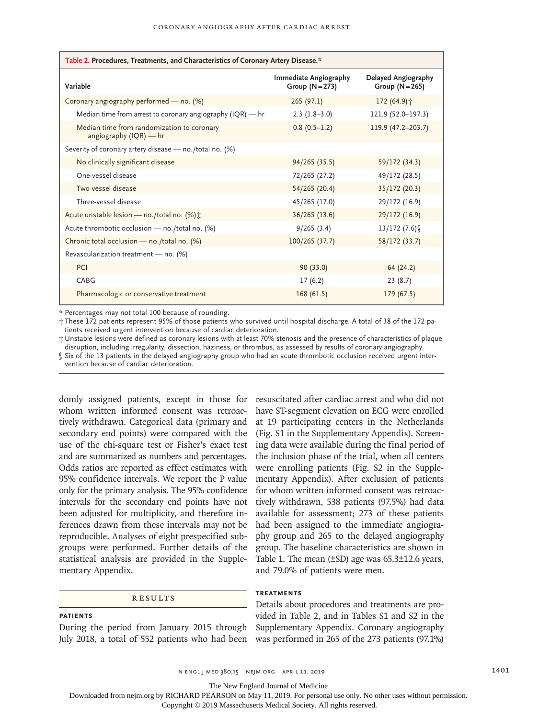| Table 2. Procedures, Treatments, and Characteristics of Coronary Artery Disease.* |                                            |                                          |  |  |
|-----------------------------------------------------------------------------------|--------------------------------------------|------------------------------------------|--|--|
| Variable                                                                          | Immediate Angiography<br>Group $(N = 273)$ | Delayed Angiography<br>Group $(N = 265)$ |  |  |
| Coronary angiography performed — no. (%)                                          | 265(97.1)                                  | 172 (64.9) +                             |  |  |
| Median time from arrest to coronary angiography $(IQR)$ — hr                      | $2.3(1.8-3.0)$                             | 121.9 (52.0-197.3)                       |  |  |
| Median time from randomization to coronary<br>angiography $(IQR)$ — hr            | $0.8(0.5-1.2)$                             | 119.9 (47.2-203.7)                       |  |  |
| Severity of coronary artery disease - no./total no. (%)                           |                                            |                                          |  |  |
| No clinically significant disease                                                 | 94/265 (35.5)                              | 59/172 (34.3)                            |  |  |
| One-vessel disease                                                                | 72/265 (27.2)                              | 49/172 (28.5)                            |  |  |
| Two-vessel disease                                                                | 54/265 (20.4)                              | 35/172 (20.3)                            |  |  |
| Three-vessel disease                                                              | 45/265 (17.0)                              | 29/172 (16.9)                            |  |  |
| Acute unstable lesion — no./total no. (%):                                        | 36/265 (13.6)                              | 29/172 (16.9)                            |  |  |
| Acute thrombotic occlusion - no./total no. (%)                                    | 9/265(3.4)                                 | 13/172(7.6)                              |  |  |
| Chronic total occlusion - no./total no. (%)                                       | 100/265(37.7)                              | 58/172 (33.7)                            |  |  |
| Revascularization treatment - no. (%)                                             |                                            |                                          |  |  |
| PCI                                                                               | 90(33.0)                                   | 64 (24.2)                                |  |  |
| CABG                                                                              | 17(6.2)                                    | 23(8.7)                                  |  |  |
| Pharmacologic or conservative treatment                                           | 168(61.5)                                  | 179 (67.5)                               |  |  |

\* Percentages may not total 100 because of rounding.

† These 172 patients represent 95% of those patients who survived until hospital discharge. A total of 38 of the 172 pa‑ tients received urgent intervention because of cardiac deterioration.

‡ Unstable lesions were defined as coronary lesions with at least 70% stenosis and the presence of characteristics of plaque disruption, including irregularity, dissection, haziness, or thrombus, as assessed by results of coronary angiography.

 $\S$  Six of the 13 patients in the delayed angiography group who had an acute thrombotic occlusion received urgent intervention because of cardiac deterioration.

domly assigned patients, except in those for resuscitated after cardiac arrest and who did not whom written informed consent was retroactively withdrawn. Categorical data (primary and secondary end points) were compared with the use of the chi-square test or Fisher's exact test and are summarized as numbers and percentages. Odds ratios are reported as effect estimates with 95% confidence intervals. We report the P value only for the primary analysis. The 95% confidence intervals for the secondary end points have not been adjusted for multiplicity, and therefore inferences drawn from these intervals may not be reproducible. Analyses of eight prespecified subgroups were performed. Further details of the statistical analysis are provided in the Supplementary Appendix.

#### **RESULTS**

#### **Patients**

July 2018, a total of 552 patients who had been was performed in 265 of the 273 patients (97.1%)

have ST-segment elevation on ECG were enrolled at 19 participating centers in the Netherlands (Fig. S1 in the Supplementary Appendix). Screening data were available during the final period of the inclusion phase of the trial, when all centers were enrolling patients (Fig. S2 in the Supplementary Appendix). After exclusion of patients for whom written informed consent was retroactively withdrawn, 538 patients (97.5%) had data available for assessment; 273 of these patients had been assigned to the immediate angiography group and 265 to the delayed angiography group. The baseline characteristics are shown in Table 1. The mean (±SD) age was 65.3±12.6 years, and 79.0% of patients were men.

# **Treatments**

During the period from January 2015 through Supplementary Appendix. Coronary angiography Details about procedures and treatments are provided in Table 2, and in Tables S1 and S2 in the

The New England Journal of Medicine

Downloaded from nejm.org by RICHARD PEARSON on May 11, 2019. For personal use only. No other uses without permission.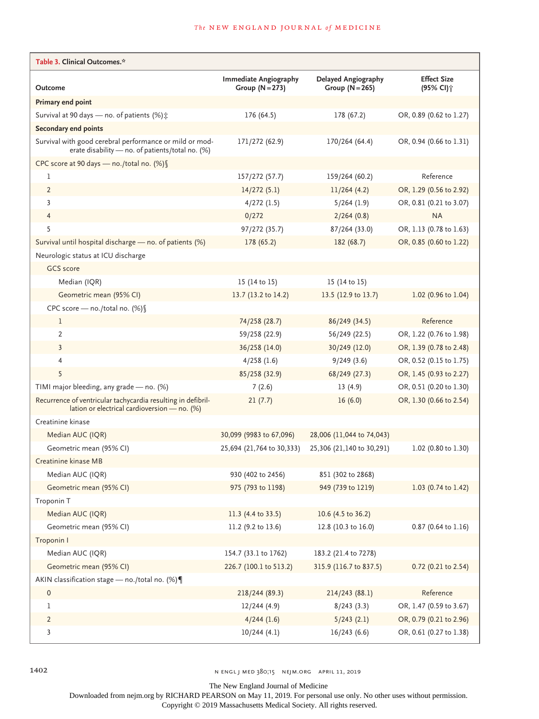| Table 3. Clinical Outcomes.*                                                                                 |                                                 |                                          |                                 |
|--------------------------------------------------------------------------------------------------------------|-------------------------------------------------|------------------------------------------|---------------------------------|
| <b>Outcome</b>                                                                                               | <b>Immediate Angiography</b><br>Group $(N=273)$ | Delayed Angiography<br>Group $(N = 265)$ | <b>Effect Size</b><br>(95% CI)个 |
| Primary end point                                                                                            |                                                 |                                          |                                 |
| Survival at 90 days - no. of patients (%) :                                                                  | 176 (64.5)                                      | 178 (67.2)                               | OR, 0.89 (0.62 to 1.27)         |
| Secondary end points                                                                                         |                                                 |                                          |                                 |
| Survival with good cerebral performance or mild or mod-<br>erate disability - no. of patients/total no. (%)  | 171/272 (62.9)                                  | 170/264 (64.4)                           | OR, 0.94 (0.66 to 1.31)         |
| CPC score at 90 days - no./total no. (%) §                                                                   |                                                 |                                          |                                 |
| 1                                                                                                            | 157/272 (57.7)                                  | 159/264 (60.2)                           | Reference                       |
| $\overline{2}$                                                                                               | 14/272(5.1)                                     | 11/264(4.2)                              | OR, 1.29 (0.56 to 2.92)         |
| 3                                                                                                            | $4/272$ $(1.5)$                                 | $5/264$ (1.9)                            | OR, 0.81 (0.21 to 3.07)         |
| 4                                                                                                            | 0/272                                           | 2/264(0.8)                               | <b>NA</b>                       |
| 5                                                                                                            | 97/272 (35.7)                                   | 87/264 (33.0)                            | OR, 1.13 (0.78 to 1.63)         |
| Survival until hospital discharge - no. of patients (%)                                                      | 178 (65.2)                                      | 182(68.7)                                | OR, 0.85 (0.60 to 1.22)         |
| Neurologic status at ICU discharge                                                                           |                                                 |                                          |                                 |
| <b>GCS</b> score                                                                                             |                                                 |                                          |                                 |
| Median (IQR)                                                                                                 | 15 (14 to 15)                                   | 15 (14 to 15)                            |                                 |
| Geometric mean (95% CI)                                                                                      | 13.7 (13.2 to 14.2)                             | 13.5 (12.9 to 13.7)                      | 1.02 (0.96 to 1.04)             |
| CPC score - no./total no. (%) §                                                                              |                                                 |                                          |                                 |
| $\mathbf{1}$                                                                                                 | 74/258 (28.7)                                   | 86/249 (34.5)                            | Reference                       |
| 2                                                                                                            | 59/258 (22.9)                                   | 56/249 (22.5)                            | OR, 1.22 (0.76 to 1.98)         |
| 3                                                                                                            | 36/258 (14.0)                                   | 30/249 (12.0)                            | OR, 1.39 (0.78 to 2.48)         |
| 4                                                                                                            | 4/258(1.6)                                      | 9/249(3.6)                               | OR, 0.52 (0.15 to 1.75)         |
| 5                                                                                                            | 85/258 (32.9)                                   | 68/249 (27.3)                            | OR, 1.45 (0.93 to 2.27)         |
| TIMI major bleeding, any grade - no. (%)                                                                     | 7(2.6)                                          | 13(4.9)                                  | OR, 0.51 (0.20 to 1.30)         |
| Recurrence of ventricular tachycardia resulting in defibril-<br>lation or electrical cardioversion - no. (%) | 21(7.7)                                         | 16(6.0)                                  | OR, 1.30 (0.66 to 2.54)         |
| Creatinine kinase                                                                                            |                                                 |                                          |                                 |
| Median AUC (IQR)                                                                                             | 30,099 (9983 to 67,096)                         | 28,006 (11,044 to 74,043)                |                                 |
| Geometric mean (95% CI)                                                                                      | 25,694 (21,764 to 30,333)                       | 25,306 (21,140 to 30,291)                | 1.02 (0.80 to 1.30)             |
| Creatinine kinase MB                                                                                         |                                                 |                                          |                                 |
| Median AUC (IQR)                                                                                             | 930 (402 to 2456)                               | 851 (302 to 2868)                        |                                 |
| Geometric mean (95% CI)                                                                                      | 975 (793 to 1198)                               | 949 (739 to 1219)                        | 1.03 (0.74 to 1.42)             |
| Troponin T                                                                                                   |                                                 |                                          |                                 |
| Median AUC (IQR)                                                                                             | 11.3 (4.4 to 33.5)                              | 10.6 (4.5 to 36.2)                       |                                 |
| Geometric mean (95% CI)                                                                                      | 11.2 (9.2 to 13.6)                              | 12.8 (10.3 to 16.0)                      | 0.87 (0.64 to 1.16)             |
| Troponin I                                                                                                   |                                                 |                                          |                                 |
| Median AUC (IQR)                                                                                             | 154.7 (33.1 to 1762)                            | 183.2 (21.4 to 7278)                     |                                 |
| Geometric mean (95% CI)                                                                                      | 226.7 (100.1 to 513.2)                          | 315.9 (116.7 to 837.5)                   | 0.72 (0.21 to 2.54)             |
| AKIN classification stage - no./total no. (%)                                                                |                                                 |                                          |                                 |
| 0                                                                                                            | 218/244 (89.3)                                  | 214/243 (88.1)                           | Reference                       |
| 1                                                                                                            | 12/244(4.9)                                     | 8/243(3.3)                               | OR, 1.47 (0.59 to 3.67)         |
| $\overline{2}$                                                                                               | $4/244$ (1.6)                                   | 5/243(2.1)                               | OR, 0.79 (0.21 to 2.96)         |
| 3                                                                                                            | 10/244(4.1)                                     | 16/243(6.6)                              | OR, 0.61 (0.27 to 1.38)         |

1402 **n engl j med 380;15 Nejm.org April 11, 2019** 

The New England Journal of Medicine

Downloaded from nejm.org by RICHARD PEARSON on May 11, 2019. For personal use only. No other uses without permission.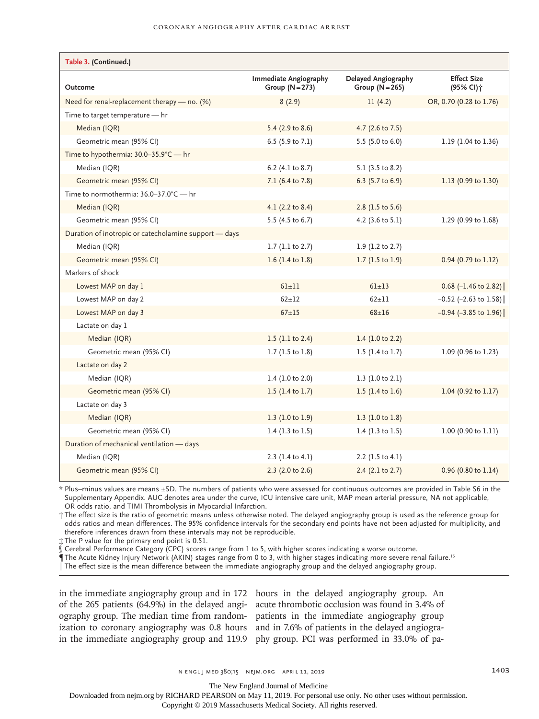| Table 3. (Continued.)                                 |                                                 |                                          |                                  |
|-------------------------------------------------------|-------------------------------------------------|------------------------------------------|----------------------------------|
| Outcome                                               | <b>Immediate Angiography</b><br>Group $(N=273)$ | Delayed Angiography<br>Group $(N = 265)$ | <b>Effect Size</b><br>(95% CI) 个 |
| Need for renal-replacement therapy - no. (%)          | 8(2.9)                                          | 11(4.2)                                  | OR, 0.70 (0.28 to 1.76)          |
| Time to target temperature - hr                       |                                                 |                                          |                                  |
| Median (IQR)                                          | 5.4 (2.9 to 8.6)                                | 4.7 (2.6 to 7.5)                         |                                  |
| Geometric mean (95% CI)                               | 6.5 $(5.9 \text{ to } 7.1)$                     | 5.5 (5.0 to 6.0)                         | 1.19 (1.04 to 1.36)              |
| Time to hypothermia: 30.0-35.9°C - hr                 |                                                 |                                          |                                  |
| Median (IQR)                                          | 6.2 $(4.1 \text{ to } 8.7)$                     | 5.1 (3.5 to 8.2)                         |                                  |
| Geometric mean (95% CI)                               | 7.1 (6.4 to 7.8)                                | 6.3 (5.7 to 6.9)                         | 1.13 (0.99 to 1.30)              |
| Time to normothermia: $36.0 - 37.0^{\circ}C$ — hr     |                                                 |                                          |                                  |
| Median (IQR)                                          | $4.1$ (2.2 to 8.4)                              | 2.8 (1.5 to 5.6)                         |                                  |
| Geometric mean (95% CI)                               | 5.5 (4.5 to 6.7)                                | 4.2 $(3.6 \text{ to } 5.1)$              | 1.29 (0.99 to 1.68)              |
| Duration of inotropic or catecholamine support - days |                                                 |                                          |                                  |
| Median (IQR)                                          | $1.7$ (1.1 to 2.7)                              | $1.9$ (1.2 to 2.7)                       |                                  |
| Geometric mean (95% CI)                               | 1.6 $(1.4 \text{ to } 1.8)$                     | 1.7 (1.5 to 1.9)                         | 0.94 (0.79 to 1.12)              |
| Markers of shock                                      |                                                 |                                          |                                  |
| Lowest MAP on day 1                                   | $61\pm11$                                       | $61 + 13$                                | $0.68$ (-1.46 to 2.82)           |
| Lowest MAP on day 2                                   | $62 + 12$                                       | $62 + 11$                                | $-0.52$ (-2.63 to 1.58)          |
| Lowest MAP on day 3                                   | $67 + 15$                                       | $68 + 16$                                | $-0.94$ (-3.85 to 1.96)          |
| Lactate on day 1                                      |                                                 |                                          |                                  |
| Median (IQR)                                          | 1.5 (1.1 to 2.4)                                | 1.4 $(1.0 to 2.2)$                       |                                  |
| Geometric mean (95% CI)                               | 1.7 (1.5 to 1.8)                                | 1.5 $(1.4 \text{ to } 1.7)$              | 1.09 (0.96 to 1.23)              |
| Lactate on day 2                                      |                                                 |                                          |                                  |
| Median (IQR)                                          | 1.4 $(1.0 to 2.0)$                              | 1.3 $(1.0 to 2.1)$                       |                                  |
| Geometric mean (95% CI)                               | 1.5 $(1.4 to 1.7)$                              | 1.5 $(1.4 \text{ to } 1.6)$              | 1.04 (0.92 to 1.17)              |
| Lactate on day 3                                      |                                                 |                                          |                                  |
| Median (IQR)                                          | 1.3 $(1.0 to 1.9)$                              | 1.3 $(1.0 to 1.8)$                       |                                  |
| Geometric mean (95% CI)                               | 1.4 $(1.3 \text{ to } 1.5)$                     | 1.4 $(1.3 \text{ to } 1.5)$              | 1.00 (0.90 to 1.11)              |
| Duration of mechanical ventilation - days             |                                                 |                                          |                                  |
| Median (IQR)                                          | $2.3$ (1.4 to 4.1)                              | $2.2$ (1.5 to 4.1)                       |                                  |
| Geometric mean (95% CI)                               | $2.3$ (2.0 to 2.6)                              | 2.4 (2.1 to 2.7)                         | 0.96 (0.80 to 1.14)              |

\* Plus–minus values are means ±SD. The numbers of patients who were assessed for continuous outcomes are provided in Table S6 in the Supplementary Appendix. AUC denotes area under the curve, ICU intensive care unit, MAP mean arterial pressure, NA not applicable, OR odds ratio, and TIMI Thrombolysis in Myocardial Infarction.

† The effect size is the ratio of geometric means unless otherwise noted. The delayed angiography group is used as the reference group for odds ratios and mean differences. The 95% confidence intervals for the secondary end points have not been adjusted for multiplicity, and therefore inferences drawn from these intervals may not be reproducible.

‡ The P value for the primary end point is 0.51.

§ Cerebral Performance Category (CPC) scores range from 1 to 5, with higher scores indicating a worse outcome.

¶ The Acute Kidney Injury Network (AKIN) stages range from 0 to 3, with higher stages indicating more severe renal failure.16

‖ The effect size is the mean difference between the immediate angiography group and the delayed angiography group.

in the immediate angiography group and in 172 hours in the delayed angiography group. An of the 265 patients (64.9%) in the delayed angi-acute thrombotic occlusion was found in 3.4% of ography group. The median time from random-patients in the immediate angiography group ization to coronary angiography was 0.8 hours and in 7.6% of patients in the delayed angiograin the immediate angiography group and 119.9 phy group. PCI was performed in 33.0% of pa-

The New England Journal of Medicine

Downloaded from nejm.org by RICHARD PEARSON on May 11, 2019. For personal use only. No other uses without permission.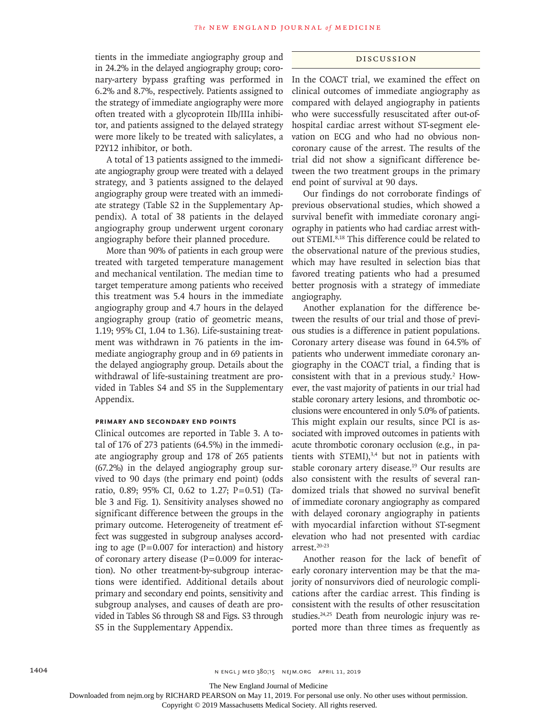tients in the immediate angiography group and in 24.2% in the delayed angiography group; coronary-artery bypass grafting was performed in 6.2% and 8.7%, respectively. Patients assigned to the strategy of immediate angiography were more often treated with a glycoprotein IIb/IIIa inhibitor, and patients assigned to the delayed strategy were more likely to be treated with salicylates, a P2Y12 inhibitor, or both.

A total of 13 patients assigned to the immediate angiography group were treated with a delayed strategy, and 3 patients assigned to the delayed angiography group were treated with an immediate strategy (Table S2 in the Supplementary Appendix). A total of 38 patients in the delayed angiography group underwent urgent coronary angiography before their planned procedure.

More than 90% of patients in each group were treated with targeted temperature management and mechanical ventilation. The median time to target temperature among patients who received this treatment was 5.4 hours in the immediate angiography group and 4.7 hours in the delayed angiography group (ratio of geometric means, 1.19; 95% CI, 1.04 to 1.36). Life-sustaining treatment was withdrawn in 76 patients in the immediate angiography group and in 69 patients in the delayed angiography group. Details about the withdrawal of life-sustaining treatment are provided in Tables S4 and S5 in the Supplementary Appendix.

#### **Primary and Secondary End Points**

Clinical outcomes are reported in Table 3. A total of 176 of 273 patients (64.5%) in the immediate angiography group and 178 of 265 patients (67.2%) in the delayed angiography group survived to 90 days (the primary end point) (odds ratio, 0.89; 95% CI, 0.62 to 1.27; P=0.51) (Table 3 and Fig. 1). Sensitivity analyses showed no significant difference between the groups in the primary outcome. Heterogeneity of treatment effect was suggested in subgroup analyses according to age  $(P=0.007$  for interaction) and history of coronary artery disease  $(P=0.009$  for interaction). No other treatment-by-subgroup interactions were identified. Additional details about primary and secondary end points, sensitivity and subgroup analyses, and causes of death are provided in Tables S6 through S8 and Figs. S3 through S5 in the Supplementary Appendix.

#### Discussion

In the COACT trial, we examined the effect on clinical outcomes of immediate angiography as compared with delayed angiography in patients who were successfully resuscitated after out-ofhospital cardiac arrest without ST-segment elevation on ECG and who had no obvious noncoronary cause of the arrest. The results of the trial did not show a significant difference between the two treatment groups in the primary end point of survival at 90 days.

Our findings do not corroborate findings of previous observational studies, which showed a survival benefit with immediate coronary angiography in patients who had cardiac arrest without STEMI.8,18 This difference could be related to the observational nature of the previous studies, which may have resulted in selection bias that favored treating patients who had a presumed better prognosis with a strategy of immediate angiography.

Another explanation for the difference between the results of our trial and those of previous studies is a difference in patient populations. Coronary artery disease was found in 64.5% of patients who underwent immediate coronary angiography in the COACT trial, a finding that is consistent with that in a previous study.<sup>2</sup> However, the vast majority of patients in our trial had stable coronary artery lesions, and thrombotic occlusions were encountered in only 5.0% of patients. This might explain our results, since PCI is associated with improved outcomes in patients with acute thrombotic coronary occlusion (e.g., in patients with STEMI), $3,4$  but not in patients with stable coronary artery disease.<sup>19</sup> Our results are also consistent with the results of several randomized trials that showed no survival benefit of immediate coronary angiography as compared with delayed coronary angiography in patients with myocardial infarction without ST-segment elevation who had not presented with cardiac arrest.20-23

Another reason for the lack of benefit of early coronary intervention may be that the majority of nonsurvivors died of neurologic complications after the cardiac arrest. This finding is consistent with the results of other resuscitation studies.24,25 Death from neurologic injury was reported more than three times as frequently as

The New England Journal of Medicine

Downloaded from nejm.org by RICHARD PEARSON on May 11, 2019. For personal use only. No other uses without permission.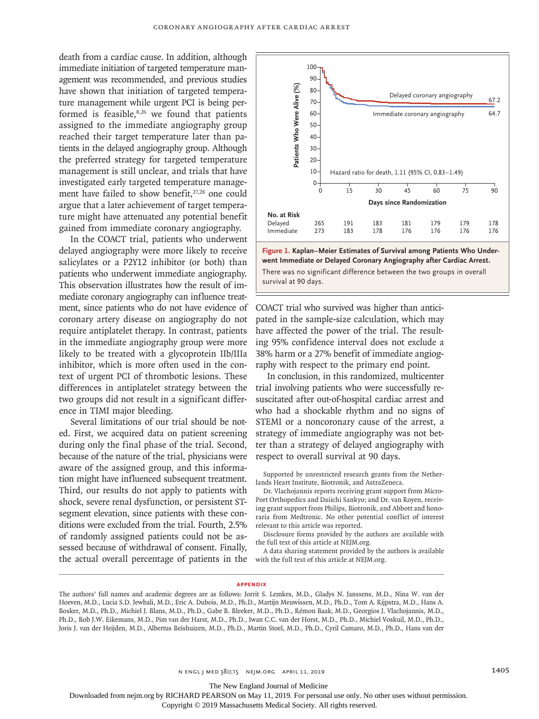death from a cardiac cause. In addition, although immediate initiation of targeted temperature management was recommended, and previous studies have shown that initiation of targeted temperature management while urgent PCI is being performed is feasible, $8,26$  we found that patients assigned to the immediate angiography group reached their target temperature later than patients in the delayed angiography group. Although the preferred strategy for targeted temperature management is still unclear, and trials that have investigated early targeted temperature management have failed to show benefit,<sup>27,28</sup> one could argue that a later achievement of target temperature might have attenuated any potential benefit gained from immediate coronary angiography.

In the COACT trial, patients who underwent delayed angiography were more likely to receive salicylates or a P2Y12 inhibitor (or both) than patients who underwent immediate angiography. This observation illustrates how the result of immediate coronary angiography can influence treatment, since patients who do not have evidence of coronary artery disease on angiography do not require antiplatelet therapy. In contrast, patients in the immediate angiography group were more likely to be treated with a glycoprotein IIb/IIIa inhibitor, which is more often used in the context of urgent PCI of thrombotic lesions. These differences in antiplatelet strategy between the two groups did not result in a significant difference in TIMI major bleeding.

Several limitations of our trial should be noted. First, we acquired data on patient screening during only the final phase of the trial. Second, because of the nature of the trial, physicians were aware of the assigned group, and this information might have influenced subsequent treatment. Third, our results do not apply to patients with shock, severe renal dysfunction, or persistent STsegment elevation, since patients with these conditions were excluded from the trial. Fourth, 2.5% of randomly assigned patients could not be assessed because of withdrawal of consent. Finally, the actual overall percentage of patients in the



**Figure 1. Kaplan–Meier Estimates of Survival among Patients Who Underwent Immediate or Delayed Coronary Angiography after Cardiac Arrest.** There was no significant difference between the two groups in overall

COACT trial who survived was higher than anticipated in the sample-size calculation, which may have affected the power of the trial. The resulting 95% confidence interval does not exclude a 38% harm or a 27% benefit of immediate angiography with respect to the primary end point.

In conclusion, in this randomized, multicenter trial involving patients who were successfully resuscitated after out-of-hospital cardiac arrest and who had a shockable rhythm and no signs of STEMI or a noncoronary cause of the arrest, a strategy of immediate angiography was not better than a strategy of delayed angiography with respect to overall survival at 90 days.

Supported by unrestricted research grants from the Netherlands Heart Institute, Biotronik, and AstraZeneca.

Dr. Vlachojannis reports receiving grant support from Micro-Port Orthopedics and Daiichi Sankyo; and Dr. van Royen, receiving grant support from Philips, Biotronik, and Abbott and honoraria from Medtronic. No other potential conflict of interest relevant to this article was reported.

Disclosure forms provided by the authors are available with the full text of this article at NEJM.org.

A data sharing statement provided by the authors is available with the full text of this article at NEJM.org.

#### **Appendix**

The authors' full names and academic degrees are as follows: Jorrit S. Lemkes, M.D., Gladys N. Janssens, M.D., Nina W. van der Hoeven, M.D., Lucia S.D. Jewbali, M.D., Eric A. Dubois, M.D., Ph.D., Martijn Meuwissen, M.D., Ph.D., Tom A. Rijpstra, M.D., Hans A. Bosker, M.D., Ph.D., Michiel J. Blans, M.D., Ph.D., Gabe B. Bleeker, M.D., Ph.D., Rémon Baak, M.D., Georgios J. Vlachojannis, M.D., Ph.D., Bob J.W. Eikemans, M.D., Pim van der Harst, M.D., Ph.D., Iwan C.C. van der Horst, M.D., Ph.D., Michiel Voskuil, M.D., Ph.D., Joris J. van der Heijden, M.D., Albertus Beishuizen, M.D., Ph.D., Martin Stoel, M.D., Ph.D., Cyril Camaro, M.D., Ph.D., Hans van der

The New England Journal of Medicine

Downloaded from nejm.org by RICHARD PEARSON on May 11, 2019. For personal use only. No other uses without permission.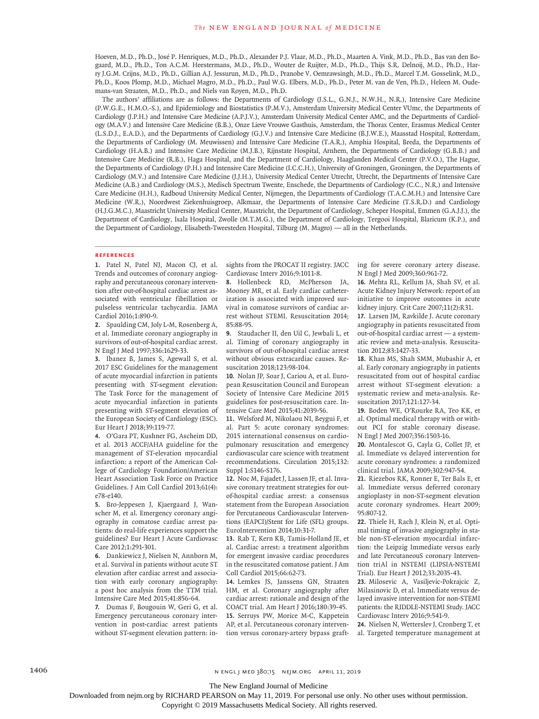Hoeven, M.D., Ph.D., José P. Henriques, M.D., Ph.D., Alexander P.J. Vlaar, M.D., Ph.D., Maarten A. Vink, M.D., Ph.D., Bas van den Bogaard, M.D., Ph.D., Ton A.C.M. Heestermans, M.D., Ph.D., Wouter de Ruijter, M.D., Ph.D., Thijs S.R. Delnoij, M.D., Ph.D., Harry J.G.M. Crijns, M.D., Ph.D., Gillian A.J. Jessurun, M.D., Ph.D., Pranobe V. Oemrawsingh, M.D., Ph.D., Marcel T.M. Gosselink, M.D., Ph.D., Koos Plomp, M.D., Michael Magro, M.D., Ph.D., Paul W.G. Elbers, M.D., Ph.D., Peter M. van de Ven, Ph.D., Heleen M. Oudemans-van Straaten, M.D., Ph.D., and Niels van Royen, M.D., Ph.D.

The authors' affiliations are as follows: the Departments of Cardiology (J.S.L., G.N.J., N.W.H., N.R.), Intensive Care Medicine (P.W.G.E., H.M.O.-S.), and Epidemiology and Biostatistics (P.M.V.), Amsterdam University Medical Center VUmc, the Departments of Cardiology (J.P.H.) and Intensive Care Medicine (A.P.J.V.), Amsterdam University Medical Center AMC, and the Departments of Cardiology (M.A.V.) and Intensive Care Medicine (B.B.), Onze Lieve Vrouwe Gasthuis, Amsterdam, the Thorax Center, Erasmus Medical Center (L.S.D.J., E.A.D.), and the Departments of Cardiology (G.J.V.) and Intensive Care Medicine (B.J.W.E.), Maasstad Hospital, Rotterdam, the Departments of Cardiology (M. Meuwissen) and Intensive Care Medicine (T.A.R.), Amphia Hospital, Breda, the Departments of Cardiology (H.A.B.) and Intensive Care Medicine (M.J.B.), Rijnstate Hospital, Arnhem, the Departments of Cardiology (G.B.B.) and Intensive Care Medicine (R.B.), Haga Hospital, and the Department of Cardiology, Haaglanden Medical Center (P.V.O.), The Hague, the Departments of Cardiology (P.H.) and Intensive Care Medicine (I.C.C.H.), University of Groningen, Groningen, the Departments of Cardiology (M.V.) and Intensive Care Medicine (J.J.H.), University Medical Center Utrecht, Utrecht, the Departments of Intensive Care Medicine (A.B.) and Cardiology (M.S.), Medisch Spectrum Twente, Enschede, the Departments of Cardiology (C.C., N.R.) and Intensive Care Medicine (H.H.), Radboud University Medical Center, Nijmegen, the Departments of Cardiology (T.A.C.M.H.) and Intensive Care Medicine (W.R.), Noordwest Ziekenhuisgroep, Alkmaar, the Departments of Intensive Care Medicine (T.S.R.D.) and Cardiology (H.J.G.M.C.), Maastricht University Medical Center, Maastricht, the Department of Cardiology, Scheper Hospital, Emmen (G.A.J.J.), the Department of Cardiology, Isala Hospital, Zwolle (M.T.M.G.), the Department of Cardiology, Tergooi Hospital, Blaricum (K.P.), and the Department of Cardiology, Elisabeth-Tweesteden Hospital, Tilburg (M. Magro) — all in the Netherlands.

#### **References**

**1.** Patel N, Patel NJ, Macon CJ, et al. Trends and outcomes of coronary angiography and percutaneous coronary intervention after out-of-hospital cardiac arrest associated with ventricular fibrillation or pulseless ventricular tachycardia. JAMA Cardiol 2016;1:890-9.

**2.** Spaulding CM, Joly L-M, Rosenberg A, et al. Immediate coronary angiography in survivors of out-of-hospital cardiac arrest. N Engl J Med 1997;336:1629-33.

**3.** Ibanez B, James S, Agewall S, et al. 2017 ESC Guidelines for the management of acute myocardial infarction in patients presenting with ST-segment elevation: The Task Force for the management of acute myocardial infarction in patients presenting with ST-segment elevation of the European Society of Cardiology (ESC). Eur Heart J 2018;39:119-77.

**4.** O'Gara PT, Kushner FG, Ascheim DD, et al. 2013 ACCF/AHA guideline for the management of ST-elevation myocardial infarction: a report of the American College of Cardiology Foundation/American Heart Association Task Force on Practice Guidelines. J Am Coll Cardiol 2013;61(4): e78-e140.

**5.** Bro-Jeppesen J, Kjaergaard J, Wanscher M, et al. Emergency coronary angiography in comatose cardiac arrest patients: do real-life experiences support the guidelines? Eur Heart J Acute Cardiovasc Care 2012;1:291-301.

**6.** Dankiewicz J, Nielsen N, Annborn M, et al. Survival in patients without acute ST elevation after cardiac arrest and association with early coronary angiography: a post hoc analysis from the TTM trial. Intensive Care Med 2015;41:856-64.

**7.** Dumas F, Bougouin W, Geri G, et al. Emergency percutaneous coronary intervention in post-cardiac arrest patients without ST-segment elevation pattern: insights from the PROCAT II registry. JACC Cardiovasc Interv 2016;9:1011-8.

**8.** Hollenbeck RD, McPherson JA, Mooney MR, et al. Early cardiac catheterization is associated with improved survival in comatose survivors of cardiac arrest without STEMI. Resuscitation 2014; 85:88-95.

**9.** Staudacher II, den Uil C, Jewbali L, et al. Timing of coronary angiography in survivors of out-of-hospital cardiac arrest without obvious extracardiac causes. Resuscitation 2018;123:98-104.

**10.** Nolan JP, Soar J, Cariou A, et al. European Resuscitation Council and European Society of Intensive Care Medicine 2015 guidelines for post-resuscitation care. Intensive Care Med 2015;41:2039-56.

**11.** Welsford M, Nikolaou NI, Beygui F, et al. Part 5: acute coronary syndromes: 2015 international consensus on cardiopulmonary resuscitation and emergency cardiovascular care science with treatment recommendations. Circulation 2015;132: Suppl 1:S146-S176.

**12.** Noc M, Fajadet J, Lassen JF, et al. Invasive coronary treatment strategies for outof-hospital cardiac arrest: a consensus statement from the European Association for Percutaneous Cardiovascular Interventions (EAPCI)/Stent for Life (SFL) groups. EuroIntervention 2014;10:31-7.

**13.** Rab T, Kern KB, Tamis-Holland JE, et al. Cardiac arrest: a treatment algorithm for emergent invasive cardiac procedures in the resuscitated comatose patient. J Am Coll Cardiol 2015;66:62-73.

**14.** Lemkes JS, Janssens GN, Straaten HM, et al. Coronary angiography after cardiac arrest: rationale and design of the COACT trial. Am Heart J 2016;180:39-45. **15.** Serruys PW, Morice M-C, Kappetein AP, et al. Percutaneous coronary intervention versus coronary-artery bypass grafting for severe coronary artery disease. N Engl J Med 2009;360:961-72.

**16.** Mehta RL, Kellum JA, Shah SV, et al. Acute Kidney Injury Network: report of an initiative to improve outcomes in acute kidney injury. Crit Care 2007;11(2):R31.

**17.** Larsen JM, Ravkilde J. Acute coronary angiography in patients resuscitated from out-of-hospital cardiac arrest — a systematic review and meta-analysis. Resuscitation 2012;83:1427-33.

**18.** Khan MS, Shah SMM, Mubashir A, et al. Early coronary angiography in patients resuscitated from out of hospital cardiac arrest without ST-segment elevation: a systematic review and meta-analysis. Resuscitation 2017;121:127-34.

**19.** Boden WE, O'Rourke RA, Teo KK, et al. Optimal medical therapy with or without PCI for stable coronary disease. N Engl J Med 2007;356:1503-16.

**20.** Montalescot G, Cayla G, Collet JP, et al. Immediate vs delayed intervention for acute coronary syndromes: a randomized clinical trial. JAMA 2009;302:947-54.

**21.** Riezebos RK, Ronner E, Ter Bals E, et al. Immediate versus deferred coronary angioplasty in non-ST-segment elevation acute coronary syndromes. Heart 2009; 95:807-12.

**22.** Thiele H, Rach J, Klein N, et al. Optimal timing of invasive angiography in stable non-ST-elevation myocardial infarction: the Leipzig Immediate versus early and late PercutaneouS coronary Intervention triAl in NSTEMI (LIPSIA-NSTEMI Trial). Eur Heart J 2012;33:2035-43.

**23.** Milosevic A, Vasiljevic-Pokrajcic Z, Milasinovic D, et al. Immediate versus delayed invasive intervention for non-STEMI patients: the RIDDLE-NSTEMI Study. JACC Cardiovasc Interv 2016;9:541-9.

**24.** Nielsen N, Wetterslev J, Cronberg T, et al. Targeted temperature management at

1406 n engl j med 380;15 nejm.org April 11, 2019

The New England Journal of Medicine

Downloaded from nejm.org by RICHARD PEARSON on May 11, 2019. For personal use only. No other uses without permission.